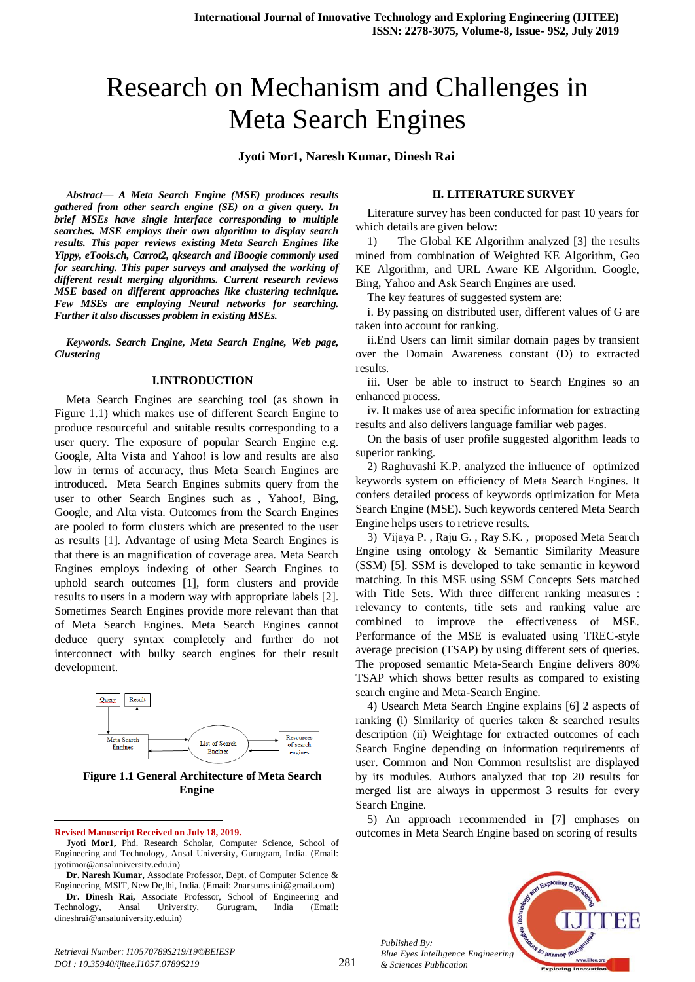# Research on Mechanism and Challenges in Meta Search Engines

#### **Jyoti Mor1, Naresh Kumar, Dinesh Rai**

*Abstract— A Meta Search Engine (MSE) produces results gathered from other search engine (SE) on a given query. In brief MSEs have single interface corresponding to multiple searches. MSE employs their own algorithm to display search results. This paper reviews existing Meta Search Engines like Yippy, eTools.ch, Carrot2, qksearch and iBoogie commonly used for searching. This paper surveys and analysed the working of different result merging algorithms. Current research reviews MSE based on different approaches like clustering technique. Few MSEs are employing Neural networks for searching. Further it also discusses problem in existing MSEs.*

*Keywords. Search Engine, Meta Search Engine, Web page, Clustering* 

#### **I.INTRODUCTION**

Meta Search Engines are searching tool (as shown in Figure 1.1) which makes use of different Search Engine to produce resourceful and suitable results corresponding to a user query. The exposure of popular Search Engine e.g. Google, Alta Vista and Yahoo! is low and results are also low in terms of accuracy, thus Meta Search Engines are introduced. Meta Search Engines submits query from the user to other Search Engines such as , Yahoo!, Bing, Google, and Alta vista. Outcomes from the Search Engines are pooled to form clusters which are presented to the user as results [1]. Advantage of using Meta Search Engines is that there is an magnification of coverage area. Meta Search Engines employs indexing of other Search Engines to uphold search outcomes [1], form clusters and provide results to users in a modern way with appropriate labels [2]. Sometimes Search Engines provide more relevant than that of Meta Search Engines. Meta Search Engines cannot deduce query syntax completely and further do not interconnect with bulky search engines for their result development.



#### **Figure 1.1 General Architecture of Meta Search Engine**

#### **Revised Manuscript Received on July 18, 2019.**

1

**Jyoti Mor1,** Phd. Research Scholar, Computer Science, School of Engineering and Technology, Ansal University, Gurugram, India. (Email: jyotimor@ansaluniversity.edu.in)

**Dr. Naresh Kumar,** Associate Professor, Dept. of Computer Science & Engineering, MSIT, New De,lhi, India. (Email: 2narsumsaini@gmail.com)

**Dr. Dinesh Rai,** Associate Professor, School of Engineering and Technology, Ansal University, Gurugram, India (Email: dineshrai@ansaluniversity.edu.in)

**II. LITERATURE SURVEY**

Literature survey has been conducted for past 10 years for which details are given below:

1) The Global KE Algorithm analyzed [3] the results mined from combination of Weighted KE Algorithm, Geo KE Algorithm, and URL Aware KE Algorithm. Google, Bing, Yahoo and Ask Search Engines are used.

The key features of suggested system are:

i. By passing on distributed user, different values of G are taken into account for ranking.

ii.End Users can limit similar domain pages by transient over the Domain Awareness constant (D) to extracted results.

iii. User be able to instruct to Search Engines so an enhanced process.

iv. It makes use of area specific information for extracting results and also delivers language familiar web pages.

On the basis of user profile suggested algorithm leads to superior ranking.

2) Raghuvashi K.P. analyzed the influence of optimized keywords system on efficiency of Meta Search Engines. It confers detailed process of keywords optimization for Meta Search Engine (MSE). Such keywords centered Meta Search Engine helps users to retrieve results.

3) Vijaya P. , Raju G. , Ray S.K. , proposed Meta Search Engine using ontology & Semantic Similarity Measure (SSM) [5]. SSM is developed to take semantic in keyword matching. In this MSE using SSM Concepts Sets matched with Title Sets. With three different ranking measures : relevancy to contents, title sets and ranking value are combined to improve the effectiveness of MSE. Performance of the MSE is evaluated using TREC-style average precision (TSAP) by using different sets of queries. The proposed semantic Meta-Search Engine delivers 80% TSAP which shows better results as compared to existing search engine and Meta-Search Engine.

4) Usearch Meta Search Engine explains [6] 2 aspects of ranking (i) Similarity of queries taken & searched results description (ii) Weightage for extracted outcomes of each Search Engine depending on information requirements of user. Common and Non Common resultslist are displayed by its modules. Authors analyzed that top 20 results for merged list are always in uppermost 3 results for every Search Engine.

5) An approach recommended in [7] emphases on outcomes in Meta Search Engine based on scoring of results



*Published By: Blue Eyes Intelligence Engineering & Sciences Publication*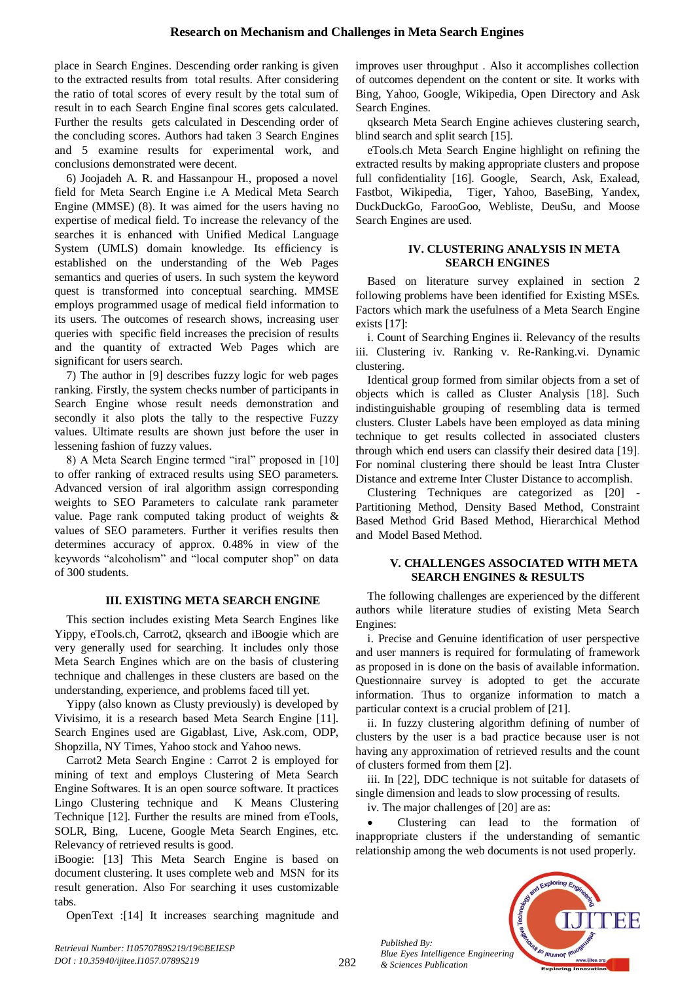place in Search Engines. Descending order ranking is given to the extracted results from total results. After considering the ratio of total scores of every result by the total sum of result in to each Search Engine final scores gets calculated. Further the results gets calculated in Descending order of the concluding scores. Authors had taken 3 Search Engines and 5 examine results for experimental work, and conclusions demonstrated were decent.

6) Joojadeh A. R. and Hassanpour H., proposed a novel field for Meta Search Engine i.e A Medical Meta Search Engine (MMSE) (8). It was aimed for the users having no expertise of medical field. To increase the relevancy of the searches it is enhanced with Unified Medical Language System (UMLS) domain knowledge. Its efficiency is established on the understanding of the Web Pages semantics and queries of users. In such system the keyword quest is transformed into conceptual searching. MMSE employs programmed usage of medical field information to its users. The outcomes of research shows, increasing user queries with specific field increases the precision of results and the quantity of extracted Web Pages which are significant for users search.

7) The author in [9] describes fuzzy logic for web pages ranking. Firstly, the system checks number of participants in Search Engine whose result needs demonstration and secondly it also plots the tally to the respective Fuzzy values. Ultimate results are shown just before the user in lessening fashion of fuzzy values.

8) A Meta Search Engine termed "iral" proposed in [10] to offer ranking of extraced results using SEO parameters. Advanced version of iral algorithm assign corresponding weights to SEO Parameters to calculate rank parameter value. Page rank computed taking product of weights & values of SEO parameters. Further it verifies results then determines accuracy of approx. 0.48% in view of the keywords "alcoholism" and "local computer shop" on data of 300 students.

### **III. EXISTING META SEARCH ENGINE**

This section includes existing Meta Search Engines like Yippy, eTools.ch, Carrot2, qksearch and iBoogie which are very generally used for searching. It includes only those Meta Search Engines which are on the basis of clustering technique and challenges in these clusters are based on the understanding, experience, and problems faced till yet.

Yippy (also known as Clusty previously) is developed by Vivisimo, it is a research based Meta Search Engine [11]. Search Engines used are Gigablast, Live, Ask.com, ODP, Shopzilla, NY Times, Yahoo stock and Yahoo news.

Carrot2 Meta Search Engine : Carrot 2 is employed for mining of text and employs Clustering of Meta Search Engine Softwares. It is an open source software. It practices Lingo Clustering technique and K Means Clustering Technique [12]. Further the results are mined from eTools, SOLR, Bing, Lucene, Google Meta Search Engines, etc. Relevancy of retrieved results is good.

iBoogie: [13] This Meta Search Engine is based on document clustering. It uses complete web and MSN for its result generation. Also For searching it uses customizable tabs.

OpenText :[14] It increases searching magnitude and

improves user throughput . Also it accomplishes collection of outcomes dependent on the content or site. It works with Bing, Yahoo, Google, Wikipedia, Open Directory and Ask Search Engines.

qksearch Meta Search Engine achieves clustering search, blind search and split search [15].

eTools.ch Meta Search Engine highlight on refining the extracted results by making appropriate clusters and propose full confidentiality [16]. [Google,](https://www.google.ch/) [Search,](https://web.search.ch/) [Ask,](https://www.search.ask.com/) [Exalead,](https://www.exalead.com/search) [Fastbot,](https://www.fastbot.de/) [Wikipedia,](https://www.wikipedia.org/) [Tiger,](https://www.tiger.ch/) [Yahoo,](https://ch.search.yahoo.com/) [BaseBing,](https://www.base-search.net/) [Yandex,](https://www.yandex.com/) [DuckDuckGo,](https://duckduckgo.com/) [FarooGoo,](http://www.faroo.com/) [Webliste,](http://www.webliste.ch/) [DeuSu,](https://deusu.de/) and [Moose](http://www.moose.at/) Search Engines are used.

### **IV. CLUSTERING ANALYSIS IN META SEARCH ENGINES**

Based on literature survey explained in section 2 following problems have been identified for Existing MSEs. Factors which mark the usefulness of a Meta Search Engine exists [17]:

i. Count of Searching Engines ii. Relevancy of the results iii. Clustering iv. Ranking v. Re-Ranking.vi. Dynamic clustering.

Identical group formed from similar objects from a set of objects which is called as Cluster Analysis [18]. Such indistinguishable grouping of resembling data is termed clusters. Cluster Labels have been employed as data mining technique to get results collected in associated clusters through which end users can classify their desired data [19]. For nominal clustering there should be least Intra Cluster Distance and extreme Inter Cluster Distance to accomplish.

Clustering Techniques are categorized as [20] - Partitioning Method, Density Based Method, Constraint Based Method Grid Based Method, Hierarchical Method and Model Based Method.

## **V. CHALLENGES ASSOCIATED WITH META SEARCH ENGINES & RESULTS**

The following challenges are experienced by the different authors while literature studies of existing Meta Search Engines:

i. Precise and Genuine identification of user perspective and user manners is required for formulating of framework as proposed in is done on the basis of available information. Questionnaire survey is adopted to get the accurate information. Thus to organize information to match a particular context is a crucial problem of [21].

ii. In fuzzy clustering algorithm defining of number of clusters by the user is a bad practice because user is not having any approximation of retrieved results and the count of clusters formed from them [2].

iii. In [22], DDC technique is not suitable for datasets of single dimension and leads to slow processing of results.

iv. The major challenges of [20] are as:

 Clustering can lead to the formation of inappropriate clusters if the understanding of semantic relationship among the web documents is not used properly.



*Retrieval Number: I10570789S219/19©BEIESP DOI : 10.35940/ijitee.I1057.0789S219*

*Published By:*

*& Sciences Publication*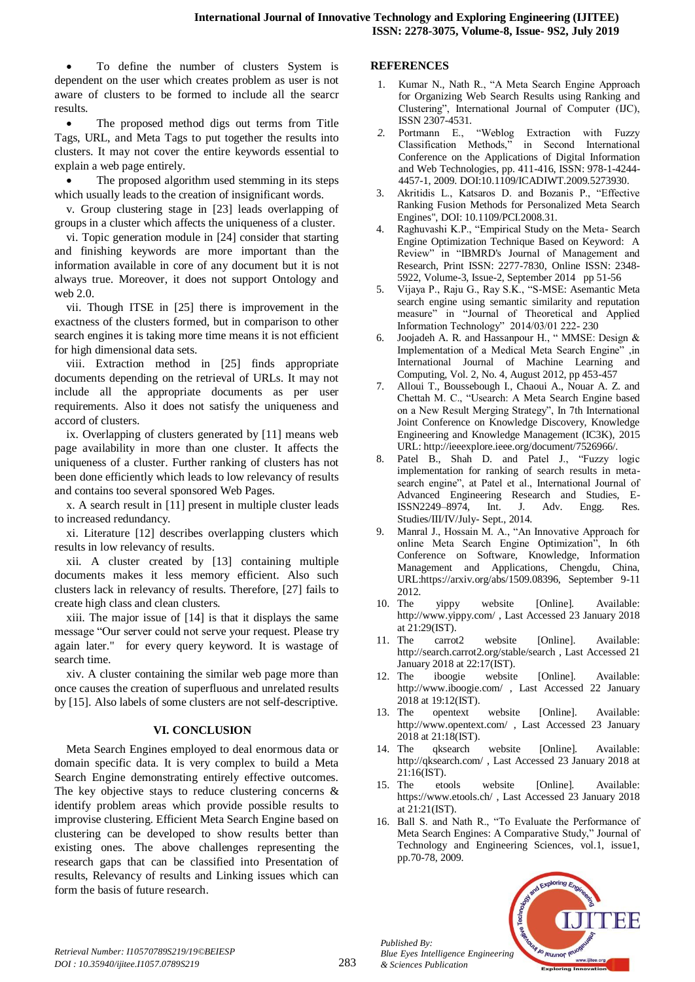To define the number of clusters System is dependent on the user which creates problem as user is not aware of clusters to be formed to include all the searcr results.

• The proposed method digs out terms from Title Tags, URL, and Meta Tags to put together the results into clusters. It may not cover the entire keywords essential to explain a web page entirely.

• The proposed algorithm used stemming in its steps which usually leads to the creation of insignificant words.

v. Group clustering stage in [23] leads overlapping of groups in a cluster which affects the uniqueness of a cluster.

vi. Topic generation module in [24] consider that starting and finishing keywords are more important than the information available in core of any document but it is not always true. Moreover, it does not support Ontology and web 2.0.

vii. Though ITSE in [25] there is improvement in the exactness of the clusters formed, but in comparison to other search engines it is taking more time means it is not efficient for high dimensional data sets.

viii. Extraction method in [25] finds appropriate documents depending on the retrieval of URLs. It may not include all the appropriate documents as per user requirements. Also it does not satisfy the uniqueness and accord of clusters.

ix. Overlapping of clusters generated by [11] means web page availability in more than one cluster. It affects the uniqueness of a cluster. Further ranking of clusters has not been done efficiently which leads to low relevancy of results and contains too several sponsored Web Pages.

x. A search result in [11] present in multiple cluster leads to increased redundancy.

xi. Literature [12] describes overlapping clusters which results in low relevancy of results.

xii. A cluster created by [13] containing multiple documents makes it less memory efficient. Also such clusters lack in relevancy of results. Therefore, [27] fails to create high class and clean clusters.

xiii. The major issue of [14] is that it displays the same message "Our server could not serve your request. Please try again later." for every query keyword. It is wastage of search time.

xiv. A cluster containing the similar web page more than once causes the creation of superfluous and unrelated results by [15]. Also labels of some clusters are not self-descriptive.

# **VI. CONCLUSION**

Meta Search Engines employed to deal enormous data or domain specific data. It is very complex to build a Meta Search Engine demonstrating entirely effective outcomes. The key objective stays to reduce clustering concerns & identify problem areas which provide possible results to improvise clustering. Efficient Meta Search Engine based on clustering can be developed to show results better than existing ones. The above challenges representing the research gaps that can be classified into Presentation of results, Relevancy of results and Linking issues which can form the basis of future research.

### **REFERENCES**

- Kumar N., Nath R., "A Meta Search Engine Approach for Organizing Web Search Results using Ranking and Clustering", International Journal of Computer (IJC), ISSN 2307-4531.
- *2.* Portmann E., "Weblog Extraction with Fuzzy Classification Methods," in Second International Conference on the Applications of Digital Information and Web Technologies, pp. 411-416, ISSN: 978-1-4244- 4457-1, 2009. DOI:10.1109/ICADIWT.2009.5273930.
- 3. Akritidis L., Katsaros D. and Bozanis P., "Effective Ranking Fusion Methods for Personalized Meta Search Engines", DOI: 10.1109/PCI.2008.31.
- Raghuvashi K.P., "Empirical Study on the Meta- Search" Engine Optimization Technique Based on Keyword: A Review" in "IBMRD's Journal of Management and Research, Print ISSN: 2277-7830, Online ISSN: 2348- 5922, Volume-3, Issue-2, September 2014 pp 51-56
- 5. Vijaya P., Raju G., Ray S.K., "S-MSE: Asemantic Meta search engine using semantic similarity and reputation measure" in "Journal of Theoretical and Applied Information Technology" 2014/03/01 222- 230
- 6. Joojadeh A. R. and Hassanpour H., " MMSE: Design & Implementation of a Medical Meta Search Engine" ,in International Journal of Machine Learning and Computing, Vol. 2, No. 4, August 2012, pp 453-457
- 7. Alloui T., Boussebough I., Chaoui A., Nouar A. Z. and Chettah M. C., "Usearch: A Meta Search Engine based on a New Result Merging Strategy", In 7th International Joint Conference on Knowledge Discovery, Knowledge Engineering and Knowledge Management (IC3K), 2015 URL: http://ieeexplore.ieee.org/document/7526966/.
- 8. Patel B., Shah D. and Patel J., "Fuzzy logic implementation for ranking of search results in metasearch engine", at Patel et al., International Journal of Advanced Engineering Research and Studies, E-ISSN2249–8974, Int. J. Adv. Engg. Res. Studies/III/IV/July- Sept., 2014.
- 9. Manral J., Hossain M. A., "An Innovative Approach for online Meta Search Engine Optimization", In 6th Conference on Software, Knowledge, Information Management and Applications, Chengdu, China, URL:https://arxiv.org/abs/1509.08396, September 9-11
- 2012.<br>10. The yippy website [Online]. Available: <http://www.yippy.com/> , Last Accessed 23 January 2018 at 21:29(IST).
- 11. The carrot2 website [Online]. Available: <http://search.carrot2.org/stable/search> , Last Accessed 21 January 2018 at 22:17(IST).
- 12. The iboogie website [Online]. Available: <http://www.iboogie.com/> , Last Accessed 22 January 2018 at 19:12(IST).
- 13. The opentext website [Online]. Available: <http://www.opentext.com/> , Last Accessed 23 January 2018 at 21:18(IST).
- 14. The qksearch website [Online]. Available: <http://qksearch.com/> , Last Accessed 23 January 2018 at 21:16(IST).
- 15. The etools website [Online]. Available: <https://www.etools.ch/> , Last Accessed 23 January 2018 at 21:21(IST).
- 16. Ball S. and Nath R., "To Evaluate the Performance of Meta Search Engines: A Comparative Study," Journal of Technology and Engineering Sciences, vol.1, issue1, pp.70-78, 2009.



*Published By:*

*& Sciences Publication*